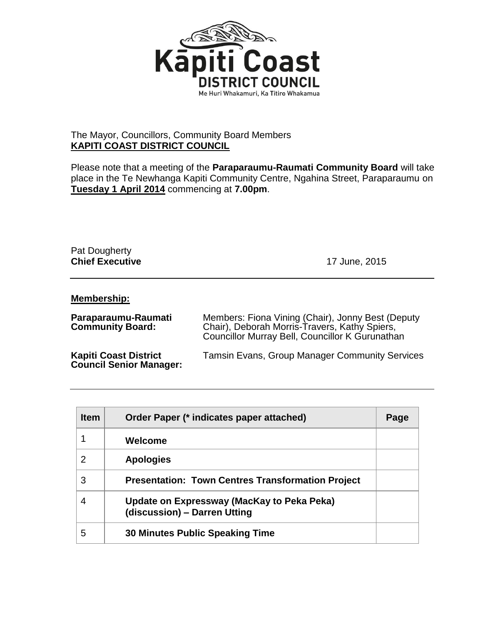

## The Mayor, Councillors, Community Board Members **KAPITI COAST DISTRICT COUNCIL**

Please note that a meeting of the **Paraparaumu-Raumati Community Board** will take place in the Te Newhanga Kapiti Community Centre, Ngahina Street, Paraparaumu on **Tuesday 1 April 2014** commencing at **7.00pm**.

## Pat Dougherty **Chief Executive** 17 June, 2015

## **Membership:**

| Paraparaumu-Raumati<br><b>Community Board:</b>                 | Members: Fiona Vining (Chair), Jonny Best (Deputy<br>Chair), Deborah Morris-Travers, Kathy Spiers,<br>Councillor Murray Bell, Councillor K Gurunathan |
|----------------------------------------------------------------|-------------------------------------------------------------------------------------------------------------------------------------------------------|
| <b>Kapiti Coast District</b><br><b>Council Senior Manager:</b> | <b>Tamsin Evans, Group Manager Community Services</b>                                                                                                 |

| <b>Item</b> | Order Paper (* indicates paper attached)                                   | Page |
|-------------|----------------------------------------------------------------------------|------|
|             | Welcome                                                                    |      |
| 2           | <b>Apologies</b>                                                           |      |
| 3           | <b>Presentation: Town Centres Transformation Project</b>                   |      |
| 4           | Update on Expressway (MacKay to Peka Peka)<br>(discussion) - Darren Utting |      |
| 5           | <b>30 Minutes Public Speaking Time</b>                                     |      |